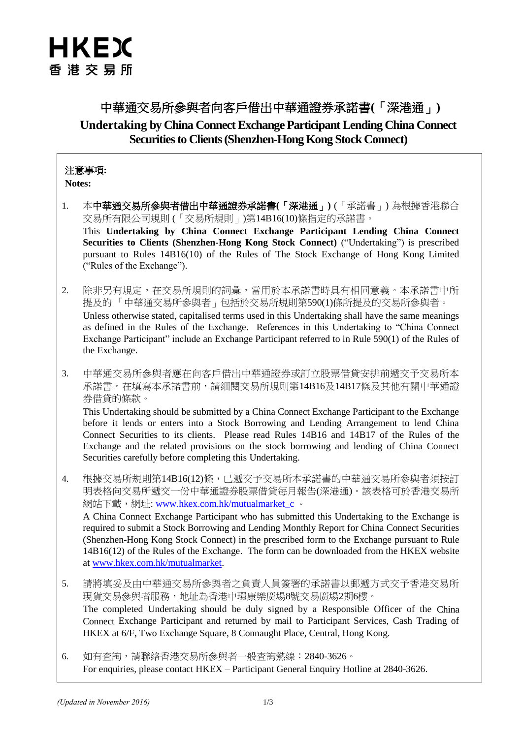# 中華通交易所參與者向客戶借出中華通證券承諾書**(**「深港通」**) Undertaking by China Connect Exchange Participant Lending China Connect Securities to Clients (Shenzhen-Hong Kong Stock Connect)**

### 注意事項**:**

**Notes:**

- 1. 本中華通交易所參與者借出中華通證券承諾書**(**「深港通」**)** (「承諾書」) 為根據香港聯合 交易所有限公司規則 (「交易所規則」)第14B16(10)條指定的承諾書。 This **Undertaking by China Connect Exchange Participant Lending China Connect Securities to Clients (Shenzhen-Hong Kong Stock Connect)** ("Undertaking") is prescribed pursuant to Rules 14B16(10) of the Rules of The Stock Exchange of Hong Kong Limited ("Rules of the Exchange").
- 2. 除非另有規定,在交易所規則的詞彙,當用於本承諾書時具有相同意義。本承諾書中所 提及的 「中華通交易所參與者」包括於交易所規則第590(1)條所提及的交易所參與者。 Unless otherwise stated, capitalised terms used in this Undertaking shall have the same meanings as defined in the Rules of the Exchange. References in this Undertaking to "China Connect Exchange Participant" include an Exchange Participant referred to in Rule 590(1) of the Rules of the Exchange.
- 3. 中華通交易所參與者應在向客戶借出中華通證券或訂立股票借貸安排前遞交予交易所本 承諾書。在填寫本承諾書前,請細閱交易所規則第14B16及14B17條及其他有關中華通證 券借貸的條款。

This Undertaking should be submitted by a China Connect Exchange Participant to the Exchange before it lends or enters into a Stock Borrowing and Lending Arrangement to lend China Connect Securities to its clients. Please read Rules 14B16 and 14B17 of the Rules of the Exchange and the related provisions on the stock borrowing and lending of China Connect Securities carefully before completing this Undertaking.

4. 根據交易所規則第14B16(12)條,已遞交予交易所本承諾書的中華通交易所參與者須按訂 明表格向交易所遞交一份中華通證券股票借貸每月報告(深港通)。該表格可於香港交易所 網站下載, 網址: www.hkex.com.hk/mutualmarket c。

A China Connect Exchange Participant who has submitted this Undertaking to the Exchange is required to submit a Stock Borrowing and Lending Monthly Report for China Connect Securities (Shenzhen-Hong Kong Stock Connect) in the prescribed form to the Exchange pursuant to Rule 14B16(12) of the Rules of the Exchange. The form can be downloaded from the HKEX website at [www.hkex.com.hk/mutualmarket.](http://www.hkex.com.hk/mutualmarket)

- 5. 請將填妥及由中華通交易所參與者之負責人員簽署的承諾書以郵遞方式交予香港交易所 現貨交易參與者服務,地址為香港中環康樂廣場8號交易廣場2期6樓。 The completed Undertaking should be duly signed by a Responsible Officer of the China Connect Exchange Participant and returned by mail to Participant Services, Cash Trading of HKEX at 6/F, Two Exchange Square, 8 Connaught Place, Central, Hong Kong.
- 6. 如有查詢,請聯絡香港交易所參與者一般查詢熱線:2840-3626。 For enquiries, please contact HKEX – Participant General Enquiry Hotline at 2840-3626.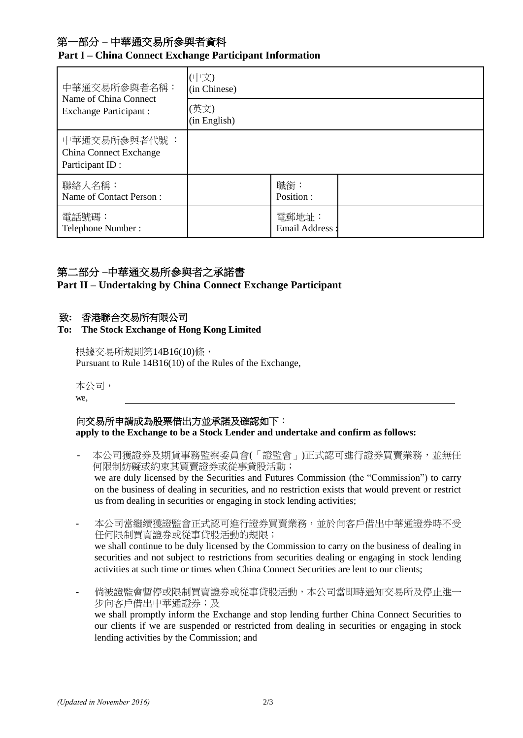# 第一部分 **–** 中華通交易所參與者資料

#### **Part I – China Connect Exchange Participant Information**

| 中華通交易所參與者名稱:<br>Name of China Connect<br><b>Exchange Participant:</b> | (中文)<br>(in Chinese) |                               |  |
|-----------------------------------------------------------------------|----------------------|-------------------------------|--|
|                                                                       | (英文)<br>(in English) |                               |  |
| 中華通交易所參與者代號:<br>China Connect Exchange<br>Participant ID:             |                      |                               |  |
| 聯絡人名稱:<br>Name of Contact Person:                                     |                      | 職銜:<br>Position:              |  |
| 電話號碼:<br>Telephone Number:                                            |                      | 電郵地址:<br><b>Email Address</b> |  |

# 第二部分 **–**中華通交易所參與者之承諾書

## **Part II – Undertaking by China Connect Exchange Participant**

## 致**:** 香港聯合交易所有限公司

#### **To: The Stock Exchange of Hong Kong Limited**

根據交易所規則第14B16(10)條, Pursuant to Rule 14B16(10) of the Rules of the Exchange,

本公司, we,

## 向交易所申請成為股票借出方並承諾及確認如下: **apply to the Exchange to be a Stock Lender and undertake and confirm as follows:**

**-** 本公司獲證券及期貨事務監察委員會(「證監會」)正式認可進行證券買賣業務,並無任 何限制妨礙或約束其買賣證券或從事貸股活動; we are duly licensed by the Securities and Futures Commission (the "Commission") to carry

on the business of dealing in securities, and no restriction exists that would prevent or restrict us from dealing in securities or engaging in stock lending activities;

- **-** 本公司當繼續獲證監會正式認可進行證券買賣業務,並於向客戶借出中華通證券時不受 任何限制買賣證券或從事貸股活動的規限; we shall continue to be duly licensed by the Commission to carry on the business of dealing in securities and not subject to restrictions from securities dealing or engaging in stock lending activities at such time or times when China Connect Securities are lent to our clients;
- **-** 倘被證監會暫停或限制買賣證券或從事貸股活動,本公司當即時通知交易所及停止進一 步向客戶借出中華通證券;及 we shall promptly inform the Exchange and stop lending further China Connect Securities to our clients if we are suspended or restricted from dealing in securities or engaging in stock lending activities by the Commission; and